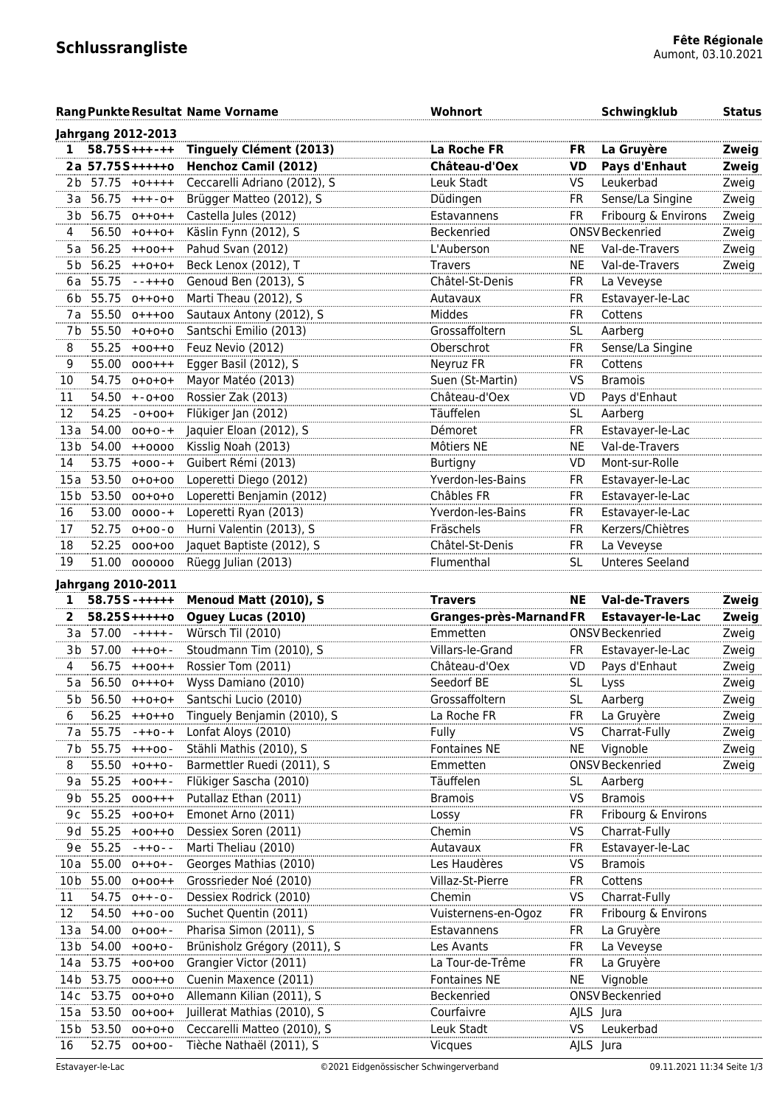|                 |                             | <b>Rang Punkte Resultat Name Vorname</b> | Wohnort                 |           | Schwingklub             | <b>Status</b> |
|-----------------|-----------------------------|------------------------------------------|-------------------------|-----------|-------------------------|---------------|
|                 | <b>Jahrgang 2012-2013</b>   |                                          |                         |           |                         |               |
| $\mathbf{1}$    | $58.755***$                 | <b>Tinguely Clément (2013)</b>           | La Roche FR             | FR        | La Gruyère              | Zweig         |
|                 | 2a 57.75S+++++0             | <b>Henchoz Camil (2012)</b>              | Château-d'Oex           | VD        | Pays d'Enhaut           | Zweig         |
|                 | 2b 57.75 +0++++             | Ceccarelli Adriano (2012), S             | Leuk Stadt              | VS        | Leukerbad               | Zweig         |
| 3a -            | $56.75$ +++-0+              | Brügger Matteo (2012), S                 | Düdingen                | FR        | Sense/La Singine        | Zweig         |
| 3b              | 56.75 0++0++                | Castella Jules (2012)                    | Estavannens             | <b>FR</b> | Fribourg & Environs     | Zweig         |
| 4               | $56.50 + 0 + + 0 +$         | Käslin Fynn (2012), S                    | Beckenried              |           | ONSV Beckenried         | Zweig         |
| 5 a             | 56.25<br>$++00++$           | Pahud Svan (2012)                        | L'Auberson              | <b>NE</b> | Val-de-Travers          | Zweig         |
| 5 b             | 56.25<br>$++0+0+$           | Beck Lenox (2012), T                     | <b>Travers</b>          | <b>NE</b> | Val-de-Travers          | Zweig         |
| 6 a             | 55.75<br>$- + + + 0$        | Genoud Ben (2013), S                     | Châtel-St-Denis         | FR        | La Veveyse              |               |
| 6b              | 55.75<br>$0++0+0$           | Marti Theau (2012), S                    | Autavaux                | FR        | Estavayer-le-Lac        |               |
| 7 a             | 55.50<br>$0+++00$           | Sautaux Antony (2012), S                 | Middes                  | FR        | Cottens                 |               |
|                 | 7b 55.50 +0+0+0             | Santschi Emilio (2013)                   | Grossaffoltern          | SL        | Aarberg                 |               |
| 8               | $55.25 +00++0$              | Feuz Nevio (2012)                        | Oberschrot              | FR        | Sense/La Singine        |               |
| 9               | 55.00 000+++                | Egger Basil (2012), S                    | Neyruz FR               | FR        | Cottens                 |               |
| 10              | 54.75 0+0+0+                | Mayor Matéo (2013)                       | Suen (St-Martin)        | <b>VS</b> | <b>Bramois</b>          |               |
| 11              | 54.50<br>$+ -0 + 00$        | Rossier Zak (2013)                       | Château-d'Oex           | VD        | Pays d'Enhaut           |               |
| 12              | 54.25<br>$-0+00+$           | Flükiger Jan (2012)                      | Täuffelen               | <b>SL</b> | Aarberg                 |               |
| 13a             | 54.00<br>$00+0-+$           | Jaquier Eloan (2012), S                  | Démoret                 | <b>FR</b> | Estavayer-le-Lac        |               |
| 13 <sub>b</sub> | 54.00<br>$++0000$           | Kisslig Noah (2013)                      | Môtiers NE              | <b>NE</b> | Val-de-Travers          |               |
| 14              | 53.75<br>$+000 - +$         | Guibert Rémi (2013)                      | <b>Burtigny</b>         | VD        | Mont-sur-Rolle          |               |
| 15a             | 53.50<br>$0+0+00$           | Loperetti Diego (2012)                   | Yverdon-les-Bains       | FR        | Estavayer-le-Lac        |               |
| 15 b            | 53.50 00+0+0                | Loperetti Benjamin (2012)                | Châbles FR              | FR        | Estavayer-le-Lac        |               |
| 16              | 53.00 0000-+                | Loperetti Ryan (2013)                    | Yverdon-les-Bains       | FR        | Estavayer-le-Lac        |               |
| 17              | $52.75$ $0+00-0$            | Hurni Valentin (2013), S                 | Fräschels               | <b>FR</b> | Kerzers/Chiètres        |               |
| 18              | 52.25 000+00                | Jaquet Baptiste (2012), S                | Châtel-St-Denis         | FR        | La Veveyse              |               |
| 19              | 51.00<br>000000             | Rüegg Julian (2013)                      | Flumenthal              | <b>SL</b> | <b>Unteres Seeland</b>  |               |
|                 | <b>Jahrgang 2010-2011</b>   |                                          |                         |           |                         |               |
| 1               | $58.75S - + + + + +$        | Menoud Matt (2010), S                    | <b>Travers</b>          | <b>NE</b> | <b>Val-de-Travers</b>   | Zweig         |
| 2               | $58.255$ +++++0             | Oguey Lucas (2010)                       | Granges-près-Marnand FR |           | <b>Estavayer-le-Lac</b> | Zweig         |
| 3a              | 57.00<br>-++++-             | Würsch Til (2010)                        | Emmetten                |           | ONSV Beckenried         | Zweig         |
|                 | 3b 57.00<br>$+++0+ -$       | Stoudmann Tim (2010), S                  | Villars-le-Grand        | <b>FR</b> | Estavayer-le-Lac        | Zweig         |
| 4               | 56.75                       | Rossier Tom (2011)                       | Château-d'Oex           | VD        | Pays d'Enhaut           |               |
|                 | $++00++$<br>5a 56.50 o+++o+ |                                          | Seedorf BE              | SL.       |                         | Zweig         |
|                 |                             | Wyss Damiano (2010)                      |                         |           | Lyss                    | Zweig         |
| 5 b             | 56.50<br>$++0+0+$           | Santschi Lucio (2010)                    | Grossaffoltern          | <b>SL</b> | Aarberg                 | ∠weig         |
| 6               | 56.25<br>$++0++0$           | Tinguely Benjamin (2010), S              | La Roche FR             | FR        | La Gruyère              | Zweig         |
| 7а              | 55.75<br>$-++0-+$           | Lonfat Aloys (2010)                      | Fully                   | VS        | Charrat-Fully           | Zweig         |
| 7 b             | 55.75<br>$+++00 -$          | Stähli Mathis (2010), S                  | Fontaines NE            | <b>NE</b> | Vignoble                | Zweig         |
| 8               | 55.50<br>$+0++0-$           | Barmettler Ruedi (2011), S               | Emmetten                |           | <b>ONSV Beckenried</b>  | Zweig         |
| 9 a             | 55.25<br>$+00++-$           | Flükiger Sascha (2010)                   | Täuffelen               | <b>SL</b> | Aarberg                 |               |
| 9b              | 55.25<br>$000++$            | Putallaz Ethan (2011)                    | <b>Bramois</b>          | VS        | <b>Bramois</b>          |               |
| 9c              | 55.25<br>$+00+0+$           | Emonet Arno (2011)                       | Lossy                   | FR        | Fribourg & Environs     |               |
| 9d              | 55.25<br>$+00++0$           | Dessiex Soren (2011)                     | Chemin                  | VS        | Charrat-Fully           |               |
|                 | 9e 55.25<br>$-++0-$         | Marti Theliau (2010)                     | Autavaux                | FR        | Estavayer-le-Lac        |               |
| 10a             | 55.00<br>$0 + + 0 + -$      | Georges Mathias (2010)                   | Les Haudères            | VS        | <b>Bramois</b>          |               |
| 10 <sub>b</sub> | 55.00<br>$0+00++$           | Grossrieder Noé (2010)                   | Villaz-St-Pierre        | FR        | Cottens                 |               |
| 11              | 54.75<br>$0++-0-$           | Dessiex Rodrick (2010)                   | Chemin                  | VS        | Charrat-Fully           |               |
| 12              | 54.50<br>$++0-00$           | Suchet Quentin (2011)                    | Vuisternens-en-Ogoz     | FR        | Fribourg & Environs     |               |
| 13a             | 54.00 0+00+-                | Pharisa Simon (2011), S                  | Estavannens             | FR        | La Gruyère              |               |
|                 | 13b 54.00 +00+0-            | Brünisholz Grégory (2011), S             | Les Avants              | FR        | La Veveyse              |               |
| 14 a            | 53.75 +00+00                | Grangier Victor (2011)                   | La Tour-de-Trême        | FR        | La Gruyère              |               |
| 14 <sub>b</sub> | 53.75 000++0                | Cuenin Maxence (2011)                    | Fontaines NE            | <b>NE</b> | Vignoble                |               |
| 14 c            | 53.75<br>$00+0+0$           | Allemann Kilian (2011), S                | Beckenried              |           | ONSV Beckenried         |               |
| 15 a            | 53.50<br>$00+00+$           | Juillerat Mathias (2010), S              | Courfaivre              | AJLS Jura |                         |               |
|                 | 15b 53.50<br>$00+0+0$       | Ceccarelli Matteo (2010), S              | Leuk Stadt              | VS        | Leukerbad               |               |
| 16              | 52.75<br>$00+00-$           | Tièche Nathaël (2011), S                 | Vicques                 | AJLS Jura |                         |               |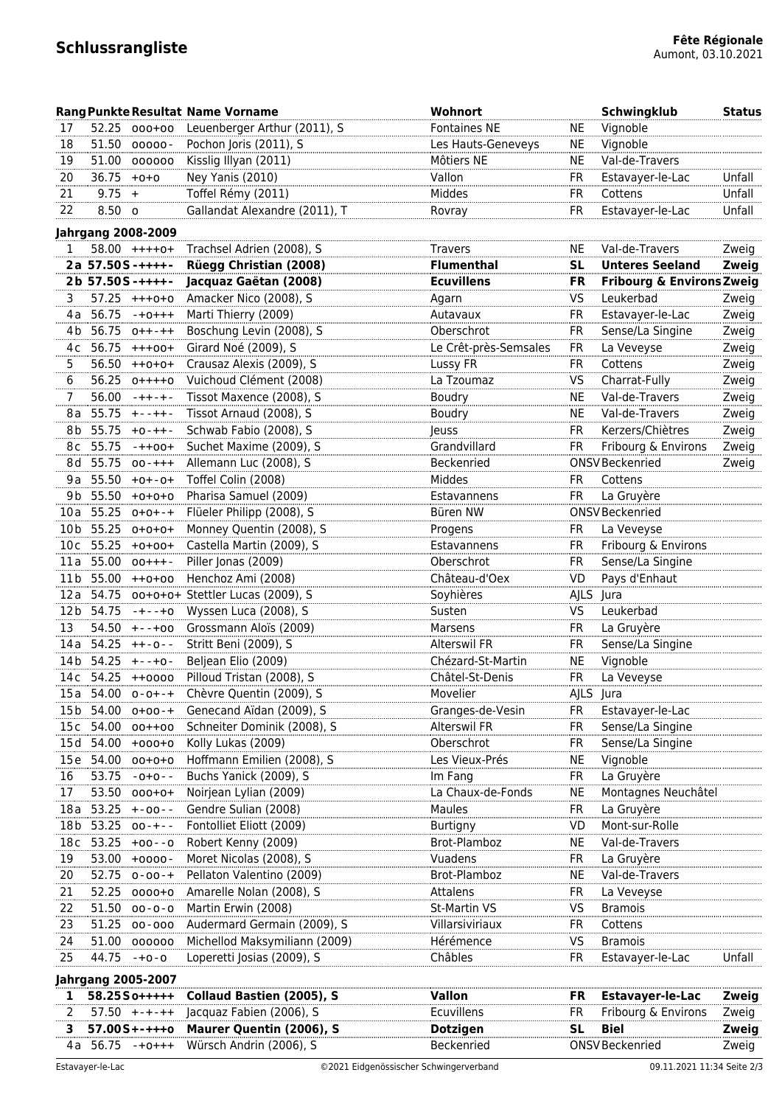## $Schlussrang$ *liste*

|                 |                       |                           | <b>Rang Punkte Resultat Name Vorname</b>   | <b>Wohnort</b>        |             | Schwingklub                          | <b>Status</b> |
|-----------------|-----------------------|---------------------------|--------------------------------------------|-----------------------|-------------|--------------------------------------|---------------|
| 17              |                       | 52.25 000+00              | Leuenberger Arthur (2011), S               | <b>Fontaines NE</b>   | NE.         | Vignoble                             |               |
| 18              |                       | 51.50 00000-              | Pochon Joris (2011), S                     | Les Hauts-Geneveys    | NE.         | Vignoble                             |               |
| 19              |                       | 51.00 000000              | Kisslig Illyan (2011)                      | Môtiers NE            | <b>NE</b>   | Val-de-Travers                       |               |
| 20              | $36.75 +0+0$          |                           | Ney Yanis (2010)                           | Vallon                | <b>FR</b>   | Estavayer-le-Lac                     | Unfall        |
| 21              | $9.75 +$              |                           | Toffel Rémy (2011)                         | Middes                | <b>FR</b>   | Cottens                              | Unfall        |
| 22              | 8.50 o                |                           | Gallandat Alexandre (2011), T              | Rovray                | <b>FR</b>   | Estavayer-le-Lac                     | Unfall        |
|                 |                       | <b>Jahrgang 2008-2009</b> |                                            |                       |             |                                      |               |
| 1               |                       | 58.00 ++++0+              | Trachsel Adrien (2008), S                  | <b>Travers</b>        | <b>NE</b>   | Val-de-Travers                       | Zweig         |
|                 | 2a 57.50S-++++-       |                           | Rüegg Christian (2008)                     | <b>Flumenthal</b>     | <b>SL</b>   | <b>Unteres Seeland</b>               | Zweig         |
|                 | $2b$ 57.50S-++++-     |                           | Jacquaz Gaëtan (2008)                      | <b>Ecuvillens</b>     | <b>FR</b>   | <b>Fribourg &amp; Environs Zweig</b> |               |
| 3               | 57.25                 | $+++0+0$                  | Amacker Nico (2008), S                     | Agarn                 | VS          | Leukerbad                            | Zweig         |
| 4 a             | 56.75                 | $-+0+++$                  | Marti Thierry (2009)                       | Autavaux              | FR          | Estavayer-le-Lac                     | Zweig         |
| 4b              | 56.75                 | $0++-++$                  | Boschung Levin (2008), S                   | Oberschrot            | FR          | Sense/La Singine                     | Zweig         |
| 4с              | 56.75                 | $+++00+$                  | Girard Noé (2009), S                       | Le Crêt-près-Semsales | FR          | La Veveyse                           | Zweig         |
| 5.              |                       | $56.50 ++0+0+$            | Crausaz Alexis (2009), S                   | Lussy FR              | FR.         | Cottens                              | Zweig         |
| 6               |                       | $56.25$ 0++++0            | Vuichoud Clément (2008)                    | La Tzoumaz            | VS          | Charrat-Fully                        | Zweig         |
| 7               |                       | $56.00 -++-+$             | Tissot Maxence (2008), S                   | Boudry                | <b>NE</b>   | Val-de-Travers                       | Zweig         |
| 8 a             |                       | $55.75 + - + + -$         | Tissot Arnaud (2008), S                    | Boudry                | <b>NE</b>   | Val-de-Travers                       | Zweig         |
| 8b              | 55.75                 | $+0-++-$                  | Schwab Fabio (2008), S                     | Jeuss                 | <b>FR</b>   | Kerzers/Chiètres                     | Zweig         |
| 8с              | 55.75                 | $-++00+$                  | Suchet Maxime (2009), S                    | Grandvillard          | <b>FR</b>   | Fribourg & Environs                  | Zweig         |
|                 | 8d 55.75              | $00 - + + +$              | Allemann Luc (2008), S                     | Beckenried            |             | ONSV Beckenried                      | Zweig         |
|                 | 9a 55.50              | $+0+ -0+$                 | Toffel Colin (2008)                        | Middes                | <b>FR</b>   | Cottens                              |               |
|                 | 9b 55.50              | $+0+0+0$                  | Pharisa Samuel (2009)                      | Estavannens           | FR          | La Gruyère                           |               |
|                 | 10a 55.25             | $0+0+ - +$                | Flüeler Philipp (2008), S                  | Büren NW              |             | ONSV Beckenried                      |               |
| 10 b            | 55.25                 | $0+0+0+$                  | Monney Quentin (2008), S                   | Progens               | FR          | La Veveyse                           |               |
|                 | 10c 55.25             | $+0+00+$                  | Castella Martin (2009), S                  | Estavannens           | FR.         | Fribourg & Environs                  |               |
|                 | $11a$ 55.00 $00+++$ - |                           | Piller Jonas (2009)                        | Oberschrot            | <b>FR</b>   | Sense/La Singine                     |               |
|                 |                       | 11b 55.00 ++0+00          | Henchoz Ami (2008)                         | Château-d'Oex         | <b>VD</b>   | Pays d'Enhaut                        |               |
|                 |                       |                           | 12a 54.75 00+0+0+ Stettler Lucas (2009), S | Soyhières             | <b>AJLS</b> | lura                                 |               |
|                 | 12b 54.75             | $-+--+0$                  | Wyssen Luca (2008), S                      | Susten                | VS          | Leukerbad                            |               |
| 13              | 54.50                 | $+-+00$                   | Grossmann Aloïs (2009)                     | Marsens               | <b>FR</b>   | La Gruyère                           |               |
|                 | 14a 54.25             | $++-0--$                  | Stritt Beni (2009), S                      | <b>Alterswil FR</b>   | <b>FR</b>   | Sense/La Singine                     |               |
|                 | 14b 54.25             | $+-+0-$                   | Beljean Elio (2009)                        | Chézard-St-Martin     | ΝE          | Vignoble                             |               |
|                 |                       | 14c 54.25 ++0000          | Pilloud Tristan (2008), S                  | Châtel-St-Denis       | FR          | La Veveyse                           |               |
| 15 a            |                       | $54.00$ 0-0+-+            | Chèvre Quentin (2009), S                   | Movelier              | AJLS Jura   |                                      |               |
| 15 b            | 54.00                 | $0+00-+$                  | Genecand Aïdan (2009), S                   | Granges-de-Vesin      | FR          | Estavayer-le-Lac                     |               |
| 15c             | 54.00                 | $00++00$                  | Schneiter Dominik (2008), S                | Alterswil FR          | FR          | Sense/La Singine                     |               |
| 15d             |                       | 54.00 +000+0              | Kolly Lukas (2009)                         | Oberschrot            | <b>FR</b>   | Sense/La Singine                     |               |
| 15e             |                       | 54.00 00+0+0              | Hoffmann Emilien (2008), S                 | Les Vieux-Prés        | <b>NE</b>   | Vignoble                             |               |
| 16              | 53.75                 | $-0+0-$                   | Buchs Yanick (2009), S                     | Im Fang               | <b>FR</b>   | La Gruyère                           |               |
| 17              | 53.50                 | $000 + 0 +$               | Noirjean Lylian (2009)                     | La Chaux-de-Fonds     | <b>NE</b>   | Montagnes Neuchâtel                  |               |
| 18 a            | 53.25                 | $+ -00 - -$               | Gendre Sulian (2008)                       | Maules                | <b>FR</b>   | La Gruyère                           |               |
| 18 <sub>b</sub> | 53.25                 | $00 - + -$                | Fontolliet Eliott (2009)                   | Burtigny              | VD          | Mont-sur-Rolle                       |               |
| 18 <sub>c</sub> | 53.25                 | $+00 - -0$                | Robert Kenny (2009)                        | Brot-Plamboz          | ΝE          | Val-de-Travers                       |               |
| 19              | 53.00                 | $+0000 -$                 | Moret Nicolas (2008), S                    | Vuadens               | FR          | La Gruyère                           |               |
| 20              | 52.75                 | $0 - 00 - +$              | Pellaton Valentino (2009)                  | Brot-Plamboz          | ΝE          | Val-de-Travers                       |               |
| 21              | 52.25                 | 0000+0                    | Amarelle Nolan (2008), S                   | Attalens              | FR          | La Veveyse                           |               |
| 22              |                       | $51.50$ 00-0-0            | Martin Erwin (2008)                        | <b>St-Martin VS</b>   | VS          | <b>Bramois</b>                       |               |
| 23              |                       | 51.25 00-000              | Audermard Germain (2009), S                | Villarsiviriaux       | <b>FR</b>   | Cottens                              |               |
| 24              |                       | 51.00 000000              | Michellod Maksymiliann (2009)              | Hérémence             | <b>VS</b>   | <b>Bramois</b>                       |               |
| 25              | 44.75                 | $-+0-0$                   | Loperetti Josias (2009), S                 | Châbles               | <b>FR</b>   | Estavayer-le-Lac                     | Unfall        |
|                 |                       |                           |                                            |                       |             |                                      |               |
|                 |                       | <b>Jahrgang 2005-2007</b> |                                            |                       |             |                                      |               |
| 1               |                       | 58.2550+++++              | <b>Collaud Bastien (2005), S</b>           | <b>Vallon</b>         | FR          | <b>Estavayer-le-Lac</b>              | Zweig         |
| 2               |                       | $57.50 + - + - + +$       | Jacquaz Fabien (2006), S                   | Ecuvillens            | <b>FR</b>   | Fribourg & Environs                  | Zweig         |
| з               |                       | $57.00S + - + + + o$      | Maurer Quentin (2006), S                   | <b>Dotzigen</b>       | <b>SL</b>   | <b>Biel</b>                          | Zweig         |
| 4 a             | 56.75                 | $-+0+++$                  | Würsch Andrin (2006), S                    | Beckenried            |             | ONSV Beckenried                      | Zweig         |